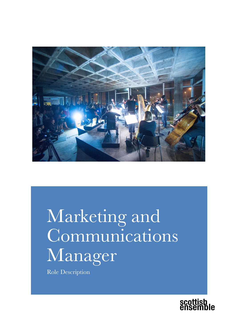

Marketing and Communications Manager

Role Description

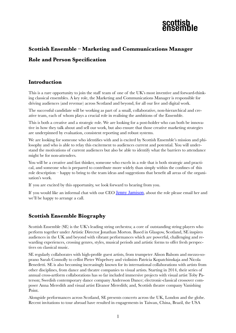

### **Scottish Ensemble – Marketing and Communications Manager**

#### **Role and Person Specification**

#### **Introduction**

This is a rare opportunity to join the staff team of one of the UK's most inventive and forward-thinking classical ensembles. A key role, the Marketing and Communications Manager is responsible for driving audiences (and revenue) across Scotland and beyond, for all our live and digital work.

The successful candidate will be working as part of a small, collaborative, non-hierarchical and creative team, each of whom plays a crucial role in realising the ambitions of the Ensemble.

This is both a creative and a strategic role. We are looking for a post-holder who can both be innovative in how they talk about and sell our work, but also ensure that those creative marketing strategies are underpinned by evaluation, consistent reporting and robust systems.

We are looking for someone who identifies with and is excited by Scottish Ensemble's mission and philosophy and who is able to relay this excitement to audiences current and potential. You will understand the motivations of current audiences but also be able to identify what the barriers to attendance might be for non-attenders.

You will be a creative and fast thinker, someone who excels in a role that is both strategic and practical, and someone who is prepared to contribute more widely than simply within the confines of this role description – happy to bring to the team ideas and suggestions that benefit all areas of the organisation's work.

If you are excited by this opportunity, we look forward to hearing from you.

If you would like an informal chat with our CEO [Jenny Jamison](mailto:jenny.jamison@scottishensemble.co.uk), about the role please email her and we'll be happy to arrange a call.

### **Scottish Ensemble Biography**

Scottish Ensemble (SE) is the UK's leading string orchestra; a core of outstanding string players who perform together under Artistic Director Jonathan Morton. Based in Glasgow, Scotland, SE inspires audiences in the UK and beyond with vibrant performances which are powerful, challenging and rewarding experiences, crossing genres, styles, musical periods and artistic forms to offer fresh perspectives on classical music.

SE regularly collaborates with high-profile guest artists, from trumpeter Alison Balsom and mezzo-soprano Sarah Connolly to cellist Pieter Wispelwey and violinists Patricia Kopatchinskaja and Nicola Benedetti. SE is also becoming increasingly known for its international collaborations with artists from other disciplines, from dance and theatre companies to visual artists. Starting in 2014, their series of annual cross-artform collaborations has so far included immersive projects with visual artist Toby Paterson; Swedish contemporary dance company Andersson Dance; electronic-classical crossover composer Anna Meredith and visual artist Eleanor Meredith; and, Scottish theatre company Vanishing Point.

Alongside performances across Scotland, SE presents concerts across the UK, London and the globe. Recent invitations to tour abroad have resulted in engagements in Taiwan, China, Brazil, the USA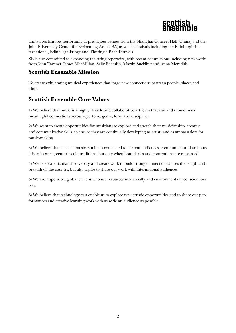

and across Europe, performing at prestigious venues from the Shanghai Concert Hall (China) and the John F. Kennedy Center for Performing Arts (USA) as well as festivals including the Edinburgh International, Edinburgh Fringe and Thuringia Bach Festivals.

SE is also committed to expanding the string repertoire, with recent commissions including new works from John Tavener, James MacMillan, Sally Beamish, Martin Suckling and Anna Meredith.

#### **Scottish Ensemble Mission**

To create exhilarating musical experiences that forge new connections between people, places and ideas.

#### **Scottish Ensemble Core Values**

1) We believe that music is a highly flexible and collaborative art form that can and should make meaningful connections across repertoire, genre, form and discipline.

2) We want to create opportunities for musicians to explore and stretch their musicianship, creative and communicative skills, to ensure they are continually developing as artists and as ambassadors for music-making.

3) We believe that classical music can be as connected to current audiences, communities and artists as it is to its great, centuries-old traditions, but only when boundaries and conventions are reassessed.

4) We celebrate Scotland's diversity and create work to build strong connections across the length and breadth of the country, but also aspire to share our work with international audiences.

5) We are responsible global citizens who use resources in a socially and environmentally conscientious way.

6) We believe that technology can enable us to explore new artistic opportunities and to share our performances and creative learning work with as wide an audience as possible.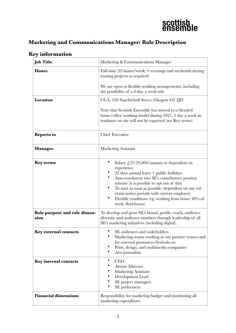

# **Marketing and Communications Manager: Role Description**

| <b>Job Title</b>                     | Marketing & Communications Manager                                                                                                                                                                                                                                                                                                                                                                       |
|--------------------------------------|----------------------------------------------------------------------------------------------------------------------------------------------------------------------------------------------------------------------------------------------------------------------------------------------------------------------------------------------------------------------------------------------------------|
| <b>Hours</b>                         | Full time $(35 \text{ hours}/\text{week})$ + evenings and weekends during<br>touring projects as required.                                                                                                                                                                                                                                                                                               |
|                                      | We are open to flexible working arrangements, including<br>the possibility of a 4-day a week role.                                                                                                                                                                                                                                                                                                       |
| Location                             | CCA, 350 Sauchiehall Street, Glasgow G2 3JD                                                                                                                                                                                                                                                                                                                                                              |
|                                      | Note that Scottish Ensemble has moved to a blended<br>home/office working model during 2021. 5 day a week at-<br>tendance on site will not be expected (see Key terms).                                                                                                                                                                                                                                  |
| <b>Reports to</b>                    | <b>Chief Executive</b>                                                                                                                                                                                                                                                                                                                                                                                   |
| <b>Manages</b>                       | <b>Marketing Assistant</b>                                                                                                                                                                                                                                                                                                                                                                               |
| <b>Key terms</b>                     | Salary $\text{\textsterling}27-29,000/$ annum or dependent on<br>experience<br>22 days annual leave + public holidays<br>Auto-enrolment into SE's contributory pension<br>scheme (it is possible to opt out of this)<br>To start as soon as possible (dependent on any rel-<br>evant notice periods with current employer)<br>Flexible conditions (eg. working from home $40\%$ of<br>week, flexi-hours) |
| Role purpose and role dimen-<br>sion | To develop and grow SE's brand, profile, reach, audience<br>diversity and audience numbers through leadership of all<br>SE's marketing initiatives (including digital).                                                                                                                                                                                                                                  |
| <b>Key external contacts</b>         | SE audiences and stakeholders<br>Marketing teams working at our partner venues and<br>for external promoters/festivals etc<br>Print, design, and multimedia companies<br>Arts journalists                                                                                                                                                                                                                |
| Key internal contacts                | <b>CEO</b><br>Artistic Director<br>Marketing Assistant<br>Development Lead<br>SE project managers<br>SE performers                                                                                                                                                                                                                                                                                       |
| <b>Financial dimensions</b>          | Responsibility for marketing budget and monitoring all<br>marketing expenditure.                                                                                                                                                                                                                                                                                                                         |

## **Key information**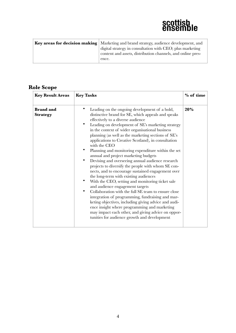

| <b>Key areas for decision making</b>   Marketing and brand strategy, audience development, and<br>digital strategy in consultation with CEO; plus marketing |
|-------------------------------------------------------------------------------------------------------------------------------------------------------------|
| content and assets, distribution channels, and online pres-                                                                                                 |
| ence.                                                                                                                                                       |

# **Role Scope**

| <b>Key Result Areas</b>             | <b>Key Tasks</b>                                                                                                                                                                                                                                                                                                                                                                                                                                                                                                                                                                                                                                                                                                                                                                                                                                                                                                                                                                                                                                                                                     | % of time |
|-------------------------------------|------------------------------------------------------------------------------------------------------------------------------------------------------------------------------------------------------------------------------------------------------------------------------------------------------------------------------------------------------------------------------------------------------------------------------------------------------------------------------------------------------------------------------------------------------------------------------------------------------------------------------------------------------------------------------------------------------------------------------------------------------------------------------------------------------------------------------------------------------------------------------------------------------------------------------------------------------------------------------------------------------------------------------------------------------------------------------------------------------|-----------|
| <b>Brand</b> and<br><b>Strategy</b> | Leading on the ongoing development of a bold,<br>distinctive brand for SE, which appeals and speaks<br>effectively to a diverse audience<br>Leading on development of SE's marketing strategy<br>in the context of wider organisational business<br>planning (as well as the marketing sections of SE's<br>applications to Creative Scotland), in consultation<br>with the CEO<br>Planning and monitoring expenditure within the set<br>annual and project marketing budgets<br>Devising and overseeing annual audience research<br>projects to diversify the people with whom SE con-<br>nects, and to encourage sustained engagement over<br>the long-term with existing audiences<br>With the CEO, setting and monitoring ticket sale<br>and audience engagement targets<br>Collaboration with the full SE team to ensure close<br>integration of programming, fundraising and mar-<br>keting objectives, including giving advice and audi-<br>ence insight where programming and marketing<br>may impact each other, and giving advice on oppor-<br>tunities for audience growth and development | 20%       |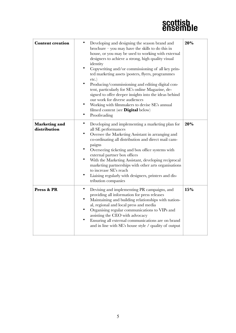# scottish<br>ensemble

| <b>Content creation</b>              | ٠<br>Developing and designing the season brand and<br>brochure $-$ you may have the skills to do this in<br>house, or you may be used to working with external<br>designers to achieve a strong, high quality visual<br>identity<br>$\bullet$<br>Copywriting and/or commissioning of all key prin-<br>ted marketing assets (posters, flyers, programmes<br>$etc.$ )<br>٠<br>Producing/commissioning and editing digital con-<br>tent, particularly for SE's online Magazine, de-<br>signed to offer deeper insights into the ideas behind<br>our work for diverse audiences<br>$\bullet$<br>Working with filmmakers to devise SE's annual<br>filmed content (see <b>Digital</b> below)<br>٠<br>Proofreading | 20% |
|--------------------------------------|-------------------------------------------------------------------------------------------------------------------------------------------------------------------------------------------------------------------------------------------------------------------------------------------------------------------------------------------------------------------------------------------------------------------------------------------------------------------------------------------------------------------------------------------------------------------------------------------------------------------------------------------------------------------------------------------------------------|-----|
| <b>Marketing and</b><br>distribution | ٠<br>Developing and implementing a marketing plan for<br>all SE performances<br>$\bullet$<br>Oversee the Marketing Assistant in arranging and<br>co-ordinating all distribution and direct mail cam-<br>paigns<br>$\bullet$<br>Overseeing ticketing and box office systems with<br>external partner box offices<br>$\bullet$<br>With the Marketing Assistant, developing reciprocal<br>marketing partnerships with other arts organisations<br>to increase SE's reach<br>$\bullet$<br>Liaising regularly with designers, printers and dis-<br>tribution companies                                                                                                                                           | 20% |
| Press & PR                           | $\bullet$<br>Devising and implementing PR campaigns, and<br>providing all information for press releases<br>Maintaining and building relationships with nation-<br>al, regional and local press and media<br>$\bullet$<br>Organising regular communications to VIPs and<br>assisting the CEO with advocacy<br>$\bullet$<br>Ensuring all external communications are on brand<br>and in line with SE's house style / quality of output                                                                                                                                                                                                                                                                       | 15% |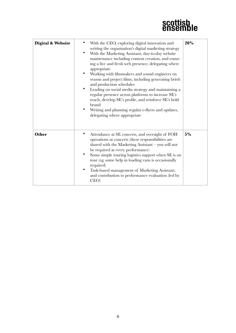# scottish<br>ensemble

| Digital & Website | With the CEO, exploring digital innovation and<br>writing the organisation's digital marketing strategy<br>With the Marketing Assistant, day-to-day website<br>maintenance including content creation, and ensur-<br>ing a live and fresh web presence, delegating where<br>appropriate<br>Working with filmmakers and sound engineers on<br>season and project films, including generating briefs<br>and production schedules<br>٠<br>Leading on social media strategy and maintaining a<br>regular presence across platforms to increase SE's<br>reach, develop SE's profile, and reinforce SE's bold<br>brand<br>Writing and planning regular e-flyers and updates,<br>delegating where appropriate | 20%   |
|-------------------|--------------------------------------------------------------------------------------------------------------------------------------------------------------------------------------------------------------------------------------------------------------------------------------------------------------------------------------------------------------------------------------------------------------------------------------------------------------------------------------------------------------------------------------------------------------------------------------------------------------------------------------------------------------------------------------------------------|-------|
| Other             | Attendance at SE concerts, and oversight of FOH<br>operations at concerts (these responsibilities are<br>shared with the Marketing Assistant - you will not<br>be required at every performance)<br>Some simple touring logistics support when SE is on<br>tour (eg. some help in loading vans is occasionally<br>required)<br>Task-based management of Marketing Assistant,<br>and contribution to performance evaluation (led by<br>$CEO$ )                                                                                                                                                                                                                                                          | $5\%$ |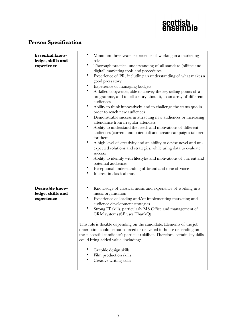

# **Person Specification**

| <b>Essential know-</b><br>ledge, skills and<br>experience | Minimum three years' experience of working in a marketing<br>role<br>Thorough practical understanding of all standard (offline and<br>digital) marketing tools and procedures<br>٠<br>Experience of PR, including an understanding of what makes a<br>good press story<br>Experience of managing budgets<br>A skilled copywriter, able to convey the key selling points of a<br>programme, and to tell a story about it, to an array of different<br>audiences<br>٠<br>Ability to think innovatively, and to challenge the status quo in<br>order to reach new audiences<br>٠<br>Demonstrable success in attracting new audiences or increasing<br>attendance from irregular attenders<br>٠<br>Ability to understand the needs and motivations of different<br>audiences (current and potential) and create campaigns tailored<br>for them.<br>A high level of creativity and an ability to devise novel and un-<br>expected solutions and strategies, while using data to evaluate<br>success<br>Ability to identify with lifestyles and motivations of current and<br>potential audiences<br>Exceptional understanding of brand and tone of voice<br>Interest in classical music |
|-----------------------------------------------------------|------------------------------------------------------------------------------------------------------------------------------------------------------------------------------------------------------------------------------------------------------------------------------------------------------------------------------------------------------------------------------------------------------------------------------------------------------------------------------------------------------------------------------------------------------------------------------------------------------------------------------------------------------------------------------------------------------------------------------------------------------------------------------------------------------------------------------------------------------------------------------------------------------------------------------------------------------------------------------------------------------------------------------------------------------------------------------------------------------------------------------------------------------------------------------------|
| Desirable know-<br>ledge, skills and<br>experience        | Knowledge of classical music and experience of working in a<br>٠<br>music organisation<br>Experience of leading and/or implementing marketing and<br>audience development strategies<br>٠<br>Strong IT skills, particularly MS Office and management of<br>CRM systems (SE uses ThankQ)<br>This role is flexible depending on the candidate. Elements of the job<br>description could be out-sourced or delivered in-house depending on<br>the successful candidate's particular skillset. Therefore, certain key skills<br>could bring added value, including:<br>Graphic design skills<br>Film production skills<br>Creative writing skills                                                                                                                                                                                                                                                                                                                                                                                                                                                                                                                                      |